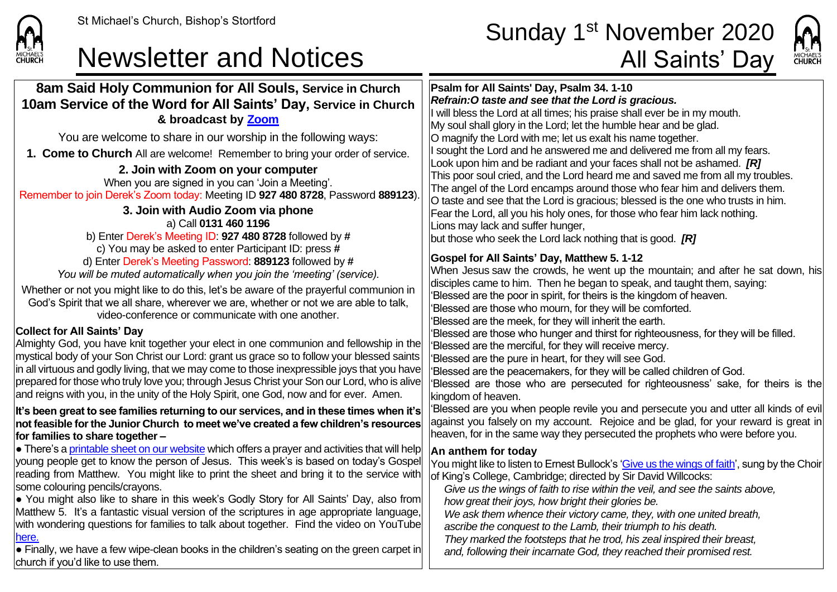**CHURCH** 

## Newsletter and Notices **All Saints' Day**

## St Michael's Church, Bishop's Stortford  $\textsf{Sunday\ 1}^{\text{st}\ \textsf{November}\ 2020}$



| 8am Said Holy Communion for All Souls, Service in Church<br>10am Service of the Word for All Saints' Day, Service in Church<br>& broadcast by Zoom<br>You are welcome to share in our worship in the following ways:<br>1. Come to Church All are welcome! Remember to bring your order of service.<br>2. Join with Zoom on your computer<br>When you are signed in you can 'Join a Meeting'.<br>Remember to join Derek's Zoom today: Meeting ID 927 480 8728, Password 889123)<br>3. Join with Audio Zoom via phone<br>a) Call 0131 460 1196<br>b) Enter Derek's Meeting ID: 927 480 8728 followed by #<br>c) You may be asked to enter Participant ID: press #<br>d) Enter Derek's Meeting Password: 889123 followed by #<br>You will be muted automatically when you join the 'meeting' (service).<br>Whether or not you might like to do this, let's be aware of the prayerful communion in<br>God's Spirit that we all share, wherever we are, whether or not we are able to talk,<br>video-conference or communicate with one another.<br><b>Collect for All Saints' Day</b><br>Almighty God, you have knit together your elect in one communion and fellowship in the<br>mystical body of your Son Christ our Lord: grant us grace so to follow your blessed saints<br>in all virtuous and godly living, that we may come to those inexpressible joys that you have<br>prepared for those who truly love you; through Jesus Christ your Son our Lord, who is alive<br>and reigns with you, in the unity of the Holy Spirit, one God, now and for ever. Amen.<br>It's been great to see families returning to our services, and in these times when it's<br>not feasible for the Junior Church to meet we've created a few children's resources<br>for families to share together -<br>• There's a printable sheet on our website which offers a prayer and activities that will help<br>young people get to know the person of Jesus. This week's is based on today's Gospel<br>reading from Matthew. You might like to print the sheet and bring it to the service with<br>some colouring pencils/crayons.<br>• You might also like to share in this week's Godly Story for All Saints' Day, also from<br>Matthew 5. It's a fantastic visual version of the scriptures in age appropriate language,<br>with wondering questions for families to talk about together. Find the video on YouTube<br>here.<br>$\bullet$ Finally, we have a few wipe-clean books in the children's seating on the green carpet in | Psalm for All Saints' Day, Psalm 34. 1-10<br>Refrain: O taste and see that the Lord is gracious.<br>I will bless the Lord at all times; his praise shall ever be in my mouth.<br>My soul shall glory in the Lord; let the humble hear and be glad.<br>O magnify the Lord with me; let us exalt his name together.<br>sought the Lord and he answered me and delivered me from all my fears.<br>Look upon him and be radiant and your faces shall not be ashamed. [R]<br>This poor soul cried, and the Lord heard me and saved me from all my troubles.<br>The angel of the Lord encamps around those who fear him and delivers them.<br>O taste and see that the Lord is gracious; blessed is the one who trusts in him.<br>Fear the Lord, all you his holy ones, for those who fear him lack nothing.<br>Lions may lack and suffer hunger,<br>but those who seek the Lord lack nothing that is good. $[R]$<br><b>Gospel for All Saints' Day, Matthew 5. 1-12</b><br>When Jesus saw the crowds, he went up the mountain; and after he sat down, his<br>disciples came to him. Then he began to speak, and taught them, saying:<br>'Blessed are the poor in spirit, for theirs is the kingdom of heaven.<br>Blessed are those who mourn, for they will be comforted.<br>Blessed are the meek, for they will inherit the earth.<br>'Blessed are those who hunger and thirst for righteousness, for they will be filled.<br>'Blessed are the merciful, for they will receive mercy.<br>'Blessed are the pure in heart, for they will see God.<br>'Blessed are the peacemakers, for they will be called children of God.<br>'Blessed are those who are persecuted for righteousness' sake, for theirs is the<br>kingdom of heaven.<br>'Blessed are you when people revile you and persecute you and utter all kinds of evil<br>against you falsely on my account. Rejoice and be glad, for your reward is great in<br>heaven, for in the same way they persecuted the prophets who were before you.<br>An anthem for today<br>You might like to listen to Ernest Bullock's 'Give us the wings of faith', sung by the Choir<br>of King's College, Cambridge; directed by Sir David Willcocks:<br>Give us the wings of faith to rise within the veil, and see the saints above,<br>how great their joys, how bright their glories be.<br>We ask them whence their victory came, they, with one united breath,<br>ascribe the conquest to the Lamb, their triumph to his death.<br>They marked the footsteps that he trod, his zeal inspired their breast,<br>and, following their incarnate God, they reached their promised rest. |
|-----------------------------------------------------------------------------------------------------------------------------------------------------------------------------------------------------------------------------------------------------------------------------------------------------------------------------------------------------------------------------------------------------------------------------------------------------------------------------------------------------------------------------------------------------------------------------------------------------------------------------------------------------------------------------------------------------------------------------------------------------------------------------------------------------------------------------------------------------------------------------------------------------------------------------------------------------------------------------------------------------------------------------------------------------------------------------------------------------------------------------------------------------------------------------------------------------------------------------------------------------------------------------------------------------------------------------------------------------------------------------------------------------------------------------------------------------------------------------------------------------------------------------------------------------------------------------------------------------------------------------------------------------------------------------------------------------------------------------------------------------------------------------------------------------------------------------------------------------------------------------------------------------------------------------------------------------------------------------------------------------------------------------------------------------------------------------------------------------------------------------------------------------------------------------------------------------------------------------------------------------------------------------------------------------------------------------------------------------------------------------------------------------------------------------------------------------------------------------------------------------------------------|------------------------------------------------------------------------------------------------------------------------------------------------------------------------------------------------------------------------------------------------------------------------------------------------------------------------------------------------------------------------------------------------------------------------------------------------------------------------------------------------------------------------------------------------------------------------------------------------------------------------------------------------------------------------------------------------------------------------------------------------------------------------------------------------------------------------------------------------------------------------------------------------------------------------------------------------------------------------------------------------------------------------------------------------------------------------------------------------------------------------------------------------------------------------------------------------------------------------------------------------------------------------------------------------------------------------------------------------------------------------------------------------------------------------------------------------------------------------------------------------------------------------------------------------------------------------------------------------------------------------------------------------------------------------------------------------------------------------------------------------------------------------------------------------------------------------------------------------------------------------------------------------------------------------------------------------------------------------------------------------------------------------------------------------------------------------------------------------------------------------------------------------------------------------------------------------------------------------------------------------------------------------------------------------------------------------------------------------------------------------------------------------------------------------------------------------------------------------------------------------------------------------------------------------------------------------------------------------------------------------------|
| church if you'd like to use them.                                                                                                                                                                                                                                                                                                                                                                                                                                                                                                                                                                                                                                                                                                                                                                                                                                                                                                                                                                                                                                                                                                                                                                                                                                                                                                                                                                                                                                                                                                                                                                                                                                                                                                                                                                                                                                                                                                                                                                                                                                                                                                                                                                                                                                                                                                                                                                                                                                                                                     |                                                                                                                                                                                                                                                                                                                                                                                                                                                                                                                                                                                                                                                                                                                                                                                                                                                                                                                                                                                                                                                                                                                                                                                                                                                                                                                                                                                                                                                                                                                                                                                                                                                                                                                                                                                                                                                                                                                                                                                                                                                                                                                                                                                                                                                                                                                                                                                                                                                                                                                                                                                                                              |